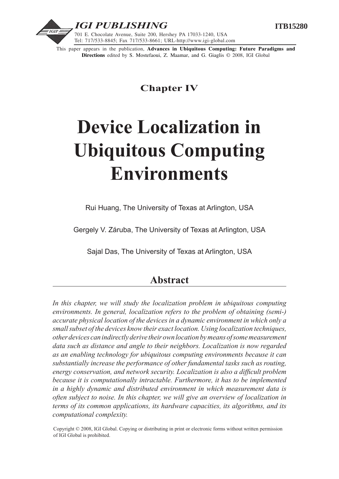



This paper appears in the publication, **Advances in Ubiquitous Computing: Future Paradigms and Directions** edited by S. Mostefaoui, Z. Maamar, and G. Giaglis © 2008, IGI Global

# **Chapter IV**

# **Device Localization in Ubiquitous Computing Environments**

Rui Huang, The University of Texas at Arlington, USA

Gergely V. Záruba, The University of Texas at Arlington, USA

Sajal Das, The University of Texas at Arlington, USA

# **Abstract**

In this chapter, we will study the localization problem in ubiquitous computing *environments. In general, localization refers to the problem of obtaining (semi-) accurate physical location of the devices in a dynamic environment in which only a small subset of the devices know their exact location. Using localization techniques, other devices can indirectly derive their own location by means of some measurement data such as distance and angle to their neighbors. Localization is now regarded as an enabling technology for ubiquitous computing environments because it can substantially increase the performance of other fundamental tasks such as routing, energy conservation, and network security. Localization is also a difficult problem because it is computationally intractable. Furthermore, it has to be implemented in a highly dynamic and distributed environment in which measurement data is often subject to noise. In this chapter, we will give an overview of localization in terms of its common applications, its hardware capacities, its algorithms, and its computational complexity.*

Copyright © 2008, IGI Global. Copying or distributing in print or electronic forms without written permission of IGI Global is prohibited.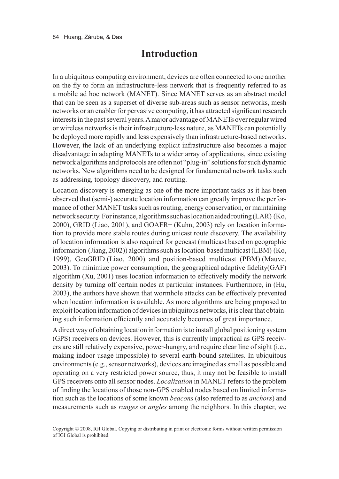In a ubiquitous computing environment, devices are often connected to one another on the fly to form an infrastructure-less network that is frequently referred to as a mobile ad hoc network (MANET). Since MANET serves as an abstract model that can be seen as a superset of diverse sub-areas such as sensor networks, mesh networks or an enabler for pervasive computing, it has attracted significant research interests in the past several years. A major advantage of MANETs over regular wired or wireless networks is their infrastructure-less nature, as MANETs can potentially be deployed more rapidly and less expensively than infrastructure-based networks. However, the lack of an underlying explicit infrastructure also becomes a major disadvantage in adapting MANETs to a wider array of applications, since existing network algorithms and protocols are often not "plug-in" solutions for such dynamic networks. New algorithms need to be designed for fundamental network tasks such as addressing, topology discovery, and routing.

Location discovery is emerging as one of the more important tasks as it has been observed that (semi-) accurate location information can greatly improve the performance of other MANET tasks such as routing, energy conservation, or maintaining network security. For instance, algorithms such as location aided routing (LAR) (Ko, 2000), GRID (Liao, 2001), and GOAFR+ (Kuhn, 2003) rely on location information to provide more stable routes during unicast route discovery. The availability of location information is also required for geocast (multicast based on geographic information (Jiang, 2002)) algorithms such as location-based multicast (LBM) (Ko, 1999), GeoGRID (Liao, 2000) and position-based multicast (PBM) (Mauve, 2003). To minimize power consumption, the geographical adaptive fidelity(GAF) algorithm (Xu, 2001) uses location information to effectively modify the network density by turning off certain nodes at particular instances. Furthermore, in (Hu, 2003), the authors have shown that wormhole attacks can be effectively prevented when location information is available. As more algorithms are being proposed to exploit location information of devices in ubiquitous networks, it is clear that obtaining such information efficiently and accurately becomes of great importance.

A direct way of obtaining location information is to install global positioning system (GPS) receivers on devices. However, this is currently impractical as GPS receivers are still relatively expensive, power-hungry, and require clear line of sight (i.e., making indoor usage impossible) to several earth-bound satellites. In ubiquitous environments (e.g., sensor networks), devices are imagined as small as possible and operating on a very restricted power source, thus, it may not be feasible to install GPS receivers onto all sensor nodes. *Localization* in MANET refers to the problem of finding the locations of those non-GPS enabled nodes based on limited information such as the locations of some known *beacons* (also referred to as *anchors*) and measurements such as *ranges* or *angles* among the neighbors. In this chapter, we

Copyright © 2008, IGI Global. Copying or distributing in print or electronic forms without written permission of IGI Global is prohibited.